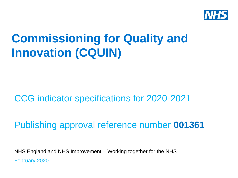

# **Commissioning for Quality and Innovation (CQUIN)**

## CCG indicator specifications for 2020-2021

## Publishing approval reference number **001361**

February 2020 NHS England and NHS Improvement – Working together for the NHS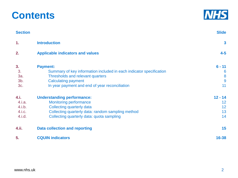| <b>Contents</b> |  |  |  |  |  |  |
|-----------------|--|--|--|--|--|--|
|-----------------|--|--|--|--|--|--|



| <b>Section</b>                               |                                                                                                                                                                                                            | <b>Slide</b>                      |
|----------------------------------------------|------------------------------------------------------------------------------------------------------------------------------------------------------------------------------------------------------------|-----------------------------------|
| $\mathbf 1$ .                                | <b>Introduction</b>                                                                                                                                                                                        | $\mathbf{3}$                      |
| 2.                                           | <b>Applicable indicators and values</b>                                                                                                                                                                    | $4 - 5$                           |
| 3.<br>3.<br>3a.<br>3b.<br>3c.                | <b>Payment:</b><br>Summary of key information included in each indicator specification<br>Thresholds and relevant quarters<br><b>Calculating payment</b><br>In year payment and end of year reconciliation | $6 - 11$<br>6<br>8<br>9<br>11     |
| 4.i.<br>4.i.a.<br>4.i.b.<br>4.i.c.<br>4.i.d. | <b>Understanding performance:</b><br><b>Monitoring performance</b><br><b>Collecting quarterly data</b><br>Collecting quarterly data: random sampling method<br>Collecting quarterly data: quota sampling   | $12 - 14$<br>12<br>12<br>13<br>14 |
| 4.ii.                                        | <b>Data collection and reporting</b>                                                                                                                                                                       | 15                                |
| 5.                                           | <b>CQUIN indicators</b>                                                                                                                                                                                    | $16 - 38$                         |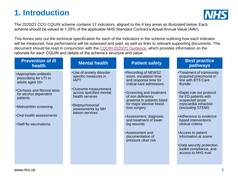### **1. Introduction**



The 2020/21 CCG CQUIN scheme contains 17 indicators, aligned to the 4 key areas as illustrated below. Each scheme should be valued at 1.25% of the applicable NHS Standard Contract's Actual Annual Value (AAV).

This Annex sets out the technical specification for each of the indicators in the scheme outlining how each indicator will be measured, how performance will be assessed and paid, as well as links to relevant supporting documents. This document should be read in conjunction with the [CQUIN 2020/21 Guidance,](https://www.england.nhs.uk/nhs-standard-contract/cquin/) which provides information on the rationale for each CQUIN and details of the scheme's structure and value.

| <b>Prevention of ill</b><br>health                                    | <b>Mental health</b>                                               | <b>Patient safety</b>                                                                              | <b>Best practice</b><br>pathways                                                        |
|-----------------------------------------------------------------------|--------------------------------------------------------------------|----------------------------------------------------------------------------------------------------|-----------------------------------------------------------------------------------------|
| • Appropriate antibiotic<br>prescribing for UTI in<br>adults aged 16+ | •Use of anxiety disorder<br>specific measures in<br><b>IAPT</b>    | •Recording of NEWS2<br>score, escalation time<br>and response time for<br>critical care admissions | •Treatment of community<br>acquired pneumonia in<br>line with BTS Care<br><b>Bundle</b> |
| • Cirrhosis and fibrosis tests<br>for alcohol dependent<br>patients   | •Outcome measurement<br>across specified mental<br>health services | •Screening and treatment<br>of iron deficiency<br>anaemia in patients listed                       | •Rapid rule out protocol<br>for ED patients with<br>suspected acute                     |
| •Malnutrition screening                                               | ·Biopsychosocial<br>assessments by MH<br>liaison services          | for major elective blood<br>loss surgery                                                           | myocardial infraction<br>(excluding STEMI)                                              |
| •Oral health assessments                                              |                                                                    | •Assessment, diagnosis<br>and treatment of lower                                                   | •Adherence to evidence<br>based interventions                                           |
| • Staff flu vaccinations                                              |                                                                    | leg wounds                                                                                         | clinical criteria                                                                       |
|                                                                       |                                                                    | •Assessment and<br>documentation of<br>pressure ulcer risk                                         | • Access to patient<br>information at scene                                             |
|                                                                       |                                                                    |                                                                                                    | •Data security protection<br>toolkit compliance, and<br>access to NHS mail              |
|                                                                       |                                                                    |                                                                                                    |                                                                                         |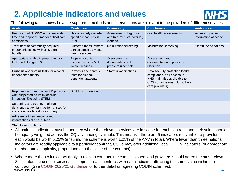## **2. Applicable indicators and values**



The following table shows how the supported methods and interventions are relevant to the providers of different services.

| <b>Acute</b>                                                                                                      | <b>Mental health</b>                                              | <b>Community</b>                                              | <b>Care homes</b>                                                                                                                                | <b>Ambulance</b>                          |
|-------------------------------------------------------------------------------------------------------------------|-------------------------------------------------------------------|---------------------------------------------------------------|--------------------------------------------------------------------------------------------------------------------------------------------------|-------------------------------------------|
| Recording of NEWS2 score, escalation<br>time and response time for critical care<br>admissions                    | Use of anxiety disorder<br>specific measures in<br><b>IAPT</b>    | Assessment, diagnosis<br>and treatment of lower leg<br>wounds | Oral health assessments                                                                                                                          | Access to patient<br>information at scene |
| Treatment of community acquired<br>pneumonia in line with BTS care<br>bundle                                      | Outcome measurement<br>across specified mental<br>health services | <b>Malnutrition screening</b>                                 | <b>Malnutrition screening</b>                                                                                                                    | Staff flu vaccinations                    |
| Appropriate antibiotic prescribing for<br>UTI in adults aged 16+                                                  | Biopsychosocial<br>assessments by MH<br>liaison services          | Assessment and<br>documentation of<br>pressure ulcer risk     | Assessment and<br>documentation of pressure<br>ulcer risk                                                                                        |                                           |
| Cirrhosis and fibrosis tests for alcohol<br>dependent patients                                                    | Cirrhosis and fibrosis<br>tests for alcohol<br>dependent patients | Staff flu vaccinations                                        | Data security protection toolkit<br>compliance, and access to<br>NHS mail (also applicable to<br>CCG commissioned domiciliary<br>care providers) |                                           |
| Rapid rule out protocol for ED patients<br>with suspected acute myocardial<br>infraction (Excluding STEMI)        | Staff flu vaccinations                                            |                                                               |                                                                                                                                                  |                                           |
| Screening and treatment of iron<br>deficiency anaemia in patients listed for<br>major elective blood loss surgery |                                                                   |                                                               |                                                                                                                                                  |                                           |
| Adherence to evidence based<br>interventions clinical criteria                                                    |                                                                   |                                                               |                                                                                                                                                  |                                           |

Staff flu vaccinations

- All national indicators must be adopted where the relevant services are in scope for each contract, and their value should be equally weighted across the CQUIN funding available. This means if there are 5 indicators relevant for a provider, each would be worth 0.25% (ensuring the scheme is worth 1.25% of the AAV in total). Where fewer than three national indicators are readily applicable to a particular contract, CCGs may offer additional local CQUIN indicators (of appropriate number and complexity, proportionate to the scale of the contract);
- www.nhs.ùk  $\overline{\phantom{a}4}$ • Where more than 8 indicators apply to a given contract, the commissioners and providers should agree the most relevant 8 indicators across the services in scope for each contract, with each indicator attracting the same value within the contract. (See [CQUIN 2020/21 Guidance](https://www.england.nhs.uk/nhs-standard-contract/cquin/) for further detail on agreeing CQUIN schemes).<br>www.nhs.uk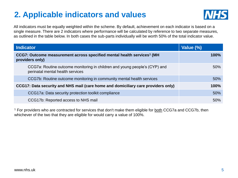### **2. Applicable indicators and values**



All indicators must be equally weighted within the scheme. By default, achievement on each indicator is based on a single measure. There are 2 indicators where performance will be calculated by reference to two separate measures, as outlined in the table below. In both cases the sub-parts individually will be worth 50% of the total indicator value.

| <b>Indicator</b>                                                                                               | Value (%)   |
|----------------------------------------------------------------------------------------------------------------|-------------|
| CCG7: Outcome measurement across specified mental health services <sup>1</sup> (MH)<br>providers only)         | <b>100%</b> |
| CCG7a: Routine outcome monitoring in children and young people's (CYP) and<br>perinatal mental health services | 50%         |
| CCG7b: Routine outcome monitoring in community mental health services                                          | 50%         |
| CCG17: Data security and NHS mail (care home and domiciliary care providers only)                              | 100%        |
| CCG17a: Data security protection toolkit compliance                                                            | 50%         |
| CCG17b: Reported access to NHS mail                                                                            | 50%         |

<sup>1</sup> For providers who are contracted for services that don't make them eligible for both CCG7a and CCG7b, then whichever of the two that they are eligible for would carry a value of 100%.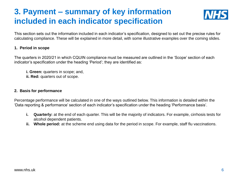### **3. Payment – summary of key information included in each indicator specification**



This section sets out the information included in each indicator's specification, designed to set out the precise rules for calculating compliance. These will be explained in more detail, with some illustrative examples over the coming slides.

#### **1. Period in scope**

The quarters in 2020/21 in which CQUIN compliance must be measured are outlined in the 'Scope' section of each indicator's specification under the heading 'Period'; they are identified as:

- **i. Green:** quarters in scope; and,
- **ii. Red:** quarters out of scope.

#### **2. Basis for performance**

Percentage performance will be calculated in one of the ways outlined below. This information is detailed within the 'Data reporting & performance' section of each indicator's specification under the heading 'Performance basis'.

- **i. Quarterly:** at the end of each quarter. This will be the majority of indicators. For example, cirrhosis tests for alcohol dependent patients.
- **ii. Whole period:** at the scheme end using data for the period in scope. For example, staff flu vaccinations.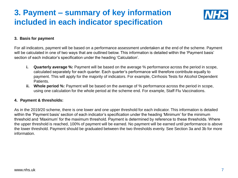### **3. Payment – summary of key information included in each indicator specification**



#### **3. Basis for payment**

For all indicators, payment will be based on a performance assessment undertaken at the end of the scheme. Payment will be calculated in one of two ways that are outlined below. This information is detailed within the 'Payment basis' section of each indicator's specification under the heading 'Calculation'.

- **i. Quarterly average %:** Payment will be based on the average % performance across the period in scope, calculated separately for each quarter. Each quarter's performance will therefore contribute equally to payment. This will apply for the majority of indicators. For example, Cirrhosis Tests for Alcohol Dependent Patients.
- **ii. Whole period %:** Payment will be based on the average of % performance across the period in scope, using one calculation for the whole period at the scheme end. For example, Staff Flu Vaccinations.

#### **4. Payment & thresholds:**

As in the 2019/20 scheme, there is one lower and one upper threshold for each indicator. This information is detailed within the 'Payment basis' section of each indicator's specification under the heading 'Minimum' for the minimum threshold and 'Maximum' for the maximum threshold. Payment is determined by reference to these thresholds. Where the upper threshold is reached, 100% of payment will be earned. No payment will be earned until performance is above the lower threshold. Payment should be graduated between the two thresholds evenly. See Section 3a and 3b for more information.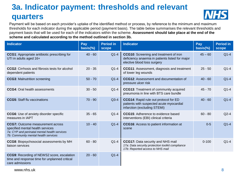### **3a. Indicator payment: thresholds and relevant quarters**



Payment will be based on each provider's uptake of the identified method or process, by reference to the minimum and maximum thresholds for each indicator during the applicable period (payment basis). The table below summarises the relevant thresholds and payment basis that will be used for each of the indicators within the scheme. **Assessment should take place at the end of the scheme and calculated according to the method outlined in section 3b.**

| <b>Indicator</b>                                                                                                                                                    | Pay<br>$basis$ %) | <b>Period in</b><br>scope | <b>Indicator</b>                                                                                                                | Pay<br>$basis$ %) | <b>Period in</b><br>scope |
|---------------------------------------------------------------------------------------------------------------------------------------------------------------------|-------------------|---------------------------|---------------------------------------------------------------------------------------------------------------------------------|-------------------|---------------------------|
| <b>CCG1:</b> Appropriate antibiotic prescribing for<br>UTI in adults aged 16+                                                                                       | $40 - 60$         | $Q1-4$                    | <b>CCG10:</b> Screening and treatment of iron<br>deficiency anaemia in patients listed for major<br>elective blood loss surgery | $45 - 60$         | $Q1-4$                    |
| <b>CCG2:</b> Cirrhosis and fibrosis tests for alcohol<br>dependent patients                                                                                         | $20 - 35$         | $Q1-4$                    | CCG11: Assessment, diagnosis and treatment<br>of lower leg wounds                                                               | $25 - 50$         | $Q1-4$                    |
| <b>CCG3: Malnutrition screening</b>                                                                                                                                 | $50 - 70$         | $Q1-4$                    | <b>CCG12: Assessment and documentation of</b><br>pressure ulcer risk                                                            | $40 - 60$         | $Q1-4$                    |
| <b>CCG4: Oral health assessments</b>                                                                                                                                | $30 - 50$         | $Q1-4$                    | <b>CCG13:</b> Treatment of community acquired<br>pneumonia in line with BTS care bundle                                         | $45 - 70$         | $Q1-4$                    |
| <b>CCG5:</b> Staff flu vaccinations                                                                                                                                 | $70 - 90$         | $Q3-4$                    | CCG14: Rapid rule out protocol for ED<br>patients with suspected acute myocardial<br>infarction (excluding STEMI)               | $40 - 60$         | $Q1-4$                    |
| CCG6: Use of anxiety disorder specific<br>measures in IAPT                                                                                                          | $35 - 65$         | $Q1-4$                    | <b>CCG15: Adherence to evidence based</b><br>interventions (EBI) clinical criteria                                              | $60 - 80$         | $Q2-4$                    |
| <b>CCG7:</b> Outcome measurement across<br>specified mental health services<br>7a: CYP and perinatal mental health services<br>7b: Community mental health services | $10 - 40$         | $Q1-4$                    | <b>CCG16:</b> Access to patient information at<br>scene                                                                         | $0 - 5$           | $Q1-4$                    |
| CCG8: Biopsychosocial assessments by MH<br>liaison services                                                                                                         | $60 - 80$         | $Q1-4$                    | CCG17: Data security and NHS mail<br>17a: Data security protection toolkit compliance<br>17b: Reported access to NHS mail       | $0 - 100$         | $Q1-4$                    |
| CCG9: Recording of NEWS2 score, escalation<br>time and response time for unplanned critical<br>care admissions                                                      | $20 - 60$         | $Q1-4$                    |                                                                                                                                 |                   |                           |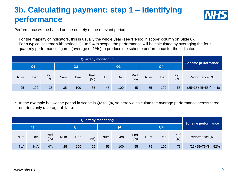### **3b. Calculating payment: step 1 – identifying performance**



Performance will be based on the entirety of the relevant period.

- For the majority of indicators, this is usually the whole year (see 'Period in scope' column on Slide 8).
- For a typical scheme with periods Q1 to Q4 in scope, the performance will be calculated by averaging the four quarterly performance figures (average of 1/4s) to produce the scheme performance for the indicator.

|                |     |              |            |     | Quarterly monitoring |            |     |             |                |     |             |                        |
|----------------|-----|--------------|------------|-----|----------------------|------------|-----|-------------|----------------|-----|-------------|------------------------|
| Q <sub>1</sub> |     |              | Q2         |     |                      | Q3         |     |             | Q <sub>4</sub> |     |             | Scheme performance     |
| Num            | Den | Perf<br>(% ) | <b>Num</b> | Den | Perf<br>(%)          | <b>Num</b> | Den | Perf<br>(%) | <b>Num</b>     | Den | Perf<br>(%) | Performance (%)        |
| 25             | 100 | 25           | 35         | 100 | 35                   | 45         | 100 | 45          | 55             | 100 | 55          | $(25+35+45+55)/4 = 40$ |

• In the example below, the period in scope is Q2 to Q4, so here we calculate the average performance across three quarters only (average of 1/4s).

|     |                |             |            |                |              | <b>Quarterly monitoring</b> |     |              |            |                |             |                      |
|-----|----------------|-------------|------------|----------------|--------------|-----------------------------|-----|--------------|------------|----------------|-------------|----------------------|
|     | Q <sub>1</sub> |             |            | Q <sub>2</sub> |              |                             | Q3  |              |            | Q <sub>4</sub> |             | Scheme performance   |
| Num | Den            | Perf<br>(%) | <b>Num</b> | Den            | Perf<br>(% ) | <b>Num</b>                  | Den | Perf<br>(% ) | <b>Num</b> | Den            | Perf<br>(%) | Performance (%)      |
| N/A | N/A            | N/A         | 25         | 100            | 25           | 55                          | 100 | 55           | 75         | 100            | 75          | $(25+55+75)/3 = 52%$ |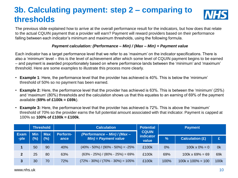### **3b. Calculating payment: step 2 – comparing to thresholds**



The previous slide explained how to arrive at the overall performance result for the indicators, but how does that relate to the actual CQUIN payment that a provider will earn? Payment will reward providers based on their performance falling between each indicator's minimum and maximum thresholds, using the following formula.

#### *Payment calculation: (Performance – Min) / (Max – Min) = Payment value*

Each indicator has a target performance level that we refer to as 'maximum' on the indicator specifications. There is also a 'minimum' level – this is the level of achievement after which some level of CQUIN payment begins to be earned – and payment is awarded proportionately based on where performance lands between the 'minimum' and 'maximum' threshold. Here are some examples to illustrate this process more clearly.

- **Example 1**: Here, the performance level that the provider has achieved is 40%. This is below the 'minimum' threshold of 50% so no payment has been earned.
- **Example 2:** Here, the performance level that the provider has achieved is 63%. This is between the 'minimum' (25%) and 'maximum' (80%) thresholds and the calculation shows us that this equates to an earning of 69% of the payment available (**69% of £100k = £69k**).
- **Example 3:** Here, the performance level that the provider has achieved is 72%. This is above the 'maximum' threshold of 70% so the provider earns the full potential amount associated with that indicator. Payment is capped at 100% so **100% of £100k = £100k**.

|              |        | <b>Threshold</b> |          | <b>Calculation</b>                      | <b>Potential</b>                 | <b>Payment</b> |                           |      |  |  |
|--------------|--------|------------------|----------|-----------------------------------------|----------------------------------|----------------|---------------------------|------|--|--|
| <b>Exam</b>  | Min    | <b>Max</b>       | Perform- | (Performance - Min) / (Max -            | <b>CQUIN</b><br><b>indicator</b> |                |                           |      |  |  |
| -ple         | $(\%)$ | (%)              | ance     | $Min$ = Payment value                   | value                            | $\frac{9}{6}$  | <b>Calculation (£)</b>    | £    |  |  |
|              | 50     | 90               | 40%      | $(40\% - 50\%) / (90\% - 50\%) = -25\%$ | £100k                            | 0%             | 100k x $0\% = 0$          | 0k   |  |  |
| $\mathbf{2}$ | 25     | 80               | 63%      | $(63\% - 25\%) / (80\% - 25\%) = 69\%$  | £100k                            | 69%            | $100k \times 69\% = 69$   | 69k  |  |  |
| 3            | 30     | 70               | 72%      | $(72\% - 30\%) / (70\% - 30\%) = 105\%$ | £100k                            | 100%           | $100k \times 100\% = 100$ | 100k |  |  |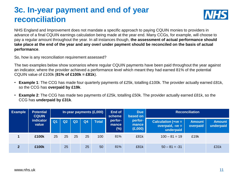### **3c. In-year payment and end of year reconciliation**



NHS England and Improvement does not mandate a specific approach to paying CQUIN monies to providers in advance of a final CQUIN earnings calculation being made at the year end. Many CCGs, for example, will choose to pay a regular amount throughout the year. In all instances though, **the assessment of actual performance should take place at the end of the year and any over/ under payment should be reconciled on the basis of actual performance**.

So, how is any reconciliation requirement assessed?

The two examples below show scenarios where regular CQUIN payments have been paid throughout the year against an indicator, where the provider achieved a performance level which meant they had earned 81% of the potential CQUIN value of £100k (**81% of £100k = £81k**).

- **Example 1**: The CCG has made four quarterly payments of £25k, totalling £100k. The provider actually earned £81k, so the CCG has **overpaid by £19k**.
- **Example 2**: The CCG has made two payments of £25k, totalling £50k. The provider actually earned £81k, so the CCG has **underpaid by £31k**.

| <b>Potential</b><br><b>Example</b><br><b>CQUIN</b> |                    |                |                |    |                | <b>In-year payments (£,000)</b>            | End of<br><b>Due</b><br>based on<br>scheme |                                                        | <b>Reconciliation</b>     |                            |      |  |
|----------------------------------------------------|--------------------|----------------|----------------|----|----------------|--------------------------------------------|--------------------------------------------|--------------------------------------------------------|---------------------------|----------------------------|------|--|
|                                                    | indicator<br>value | Q <sub>1</sub> | Q <sub>2</sub> | Q3 | Q <sub>4</sub> | perfor-<br><b>Total</b><br>mance<br>$(\%)$ | perfor-<br>mance<br>(E,000)                | Calculation $(+ve =$<br>overpaid, $-ve =$<br>underpaid | <b>Amount</b><br>overpaid | <b>Amount</b><br>underpaid |      |  |
|                                                    | £100k              | 25             | 25             | 25 | 25             | 100                                        | 81%                                        | £81k                                                   | $100 - 81 = 19$           | £19k                       |      |  |
| $\overline{2}$                                     | £100k              |                | 25             |    | 25             | 50                                         | 81%                                        | £81k                                                   | $50 - 81 = -31$           |                            | £31k |  |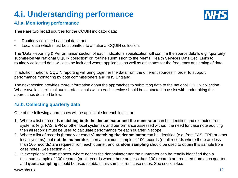### **4.i. Understanding performance**



#### **4.i.a. Monitoring performance**

There are two broad sources for the CQUIN indicator data:

- Routinely collected national data; and
- Local data which must be submitted to a national CQUIN collection.

The 'Data Reporting & Performance' section of each indicator's specification will confirm the source details e.g. 'quarterly submission via National CQUIN collection' or 'routine submission to the Mental Health Services Data Set'. Links to routinely collected data will also be included where applicable, as well as estimates for the frequency and timing of data.

In addition, national CQUIN reporting will bring together the data from the different sources in order to support performance monitoring by both commissioners and NHS England.

The next section provides more information about the approaches to submitting data to the national CQUIN collection. Where available, clinical audit professionals within each service should be contacted to assist with undertaking the approaches detailed below.

#### **4.i.b. Collecting quarterly data**

One of the following approaches will be applicable for each indicator:

- 1. Where a list of records **matching both the denominator and the numerator** can be identified and extracted from systems (e.g. PAS, EPR or other local systems), and performance assessed without the need for case note auditing then all records must be used to calculate performance for each quarter in scope.
- 2. Where a list of records (broadly or exactly) **matching the denominator** can be identified (e.g. from PAS, EPR or other local systems), but **not the numerator**, then a minimum sample of 100 records (or all records where there are less than 100 records) are required from each quarter, and **random sampling** should be used to obtain this sample from case notes. See section 4.i.c.
- 3. In exceptional circumstances, where neither the denominator nor the numerator can be readily identified then a minimum sample of 100 records (or all records where there are less than 100 records) are required from each quarter, and **quota sampling** should be used to obtain this sample from case notes. See section 4.i.d.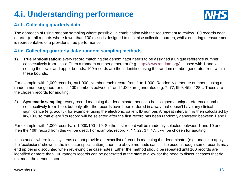### **4.i. Understanding performance**



#### **4.i.b. Collecting quarterly data**

The approach of using random sampling where possible, in combination with the requirement to review 100 records each quarter (or all records where fewer than 100 exist) is designed to minimise collection burden, whilst ensuring measurement is representative of a provider's true performance.

#### **4.i.c. Collecting quarterly data: random sampling methods**

**1) True randomisation:** every record matching the denominator needs to be assigned a unique reference number consecutively from 1 to x. Then a random number generator (e.g. [http://www.random.org](http://www.random.org/)/) is used with 1 and x setting the lower and upper bounds. 100 records are then identified using the random number generator from within these bounds.

For example, with 1,000 records, x=1,000. Number each record from 1 to 1,000. Randomly generate numbers using a random number generator until 100 numbers between 1 and 1,000 are generated e.g. 7, 77, 999, 452, 128… These are the chosen records for auditing.

**2) Systematic sampling**: every record matching the denominator needs to be assigned a unique reference number consecutively from 1 to x but only after the records have been ordered in a way that doesn't have any clinical significance (e.g. acuity), for example, using the electronic patient ID number. A repeat interval 'i' is then calculated by i=x/100, so that every 'i'th record will be selected after the first record has been randomly generated between 1 and i.

For example, with 1,000 records, i=1,000/100 =10. So the first record will be randomly selected between 1 and 10 and then the 10th record from this will be used. For example. record 7, 17, 27, 37, 47… will be chosen for auditing.

In instances where local systems cannot provide an exact list of records matching the denominator (e.g. unable to apply the 'exclusions' shown in the indicator specification), then the above methods can still be used although some records may end up being discounted when reviewing the case notes. Either the method should be repeated until 100 records are identified or more than 100 random records can be generated at the start to allow for the need to discount cases that do not meet the denominator.

#### www.nhs.uk 13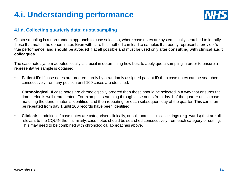### **4.i. Understanding performance**



#### **4.i.d. Collecting quarterly data: quota sampling**

Quota sampling is a non-random approach to case selection, where case notes are systematically searched to identify those that match the denominator. Even with care this method can lead to samples that poorly represent a provider's true performance, and **should be avoided** if at all possible and must be used only after **consulting with clinical audit colleagues**.

The case note system adopted locally is crucial in determining how best to apply quota sampling in order to ensure a representative sample is obtained:

- **Patient ID**: If case notes are ordered purely by a randomly assigned patient ID then case notes can be searched consecutively from any position until 100 cases are identified.
- **Chronological:** If case notes are chronologically ordered then these should be selected in a way that ensures the time period is well represented. For example, searching through case notes from day 1 of the quarter until a case matching the denominator is identified, and then repeating for each subsequent day of the quarter. This can then be repeated from day 1 until 100 records have been identified.
- **Clinical:** In addition, if case notes are categorised clinically, or split across clinical settings (e.g. wards) that are all relevant to the CQUIN then, similarly, case notes should be searched consecutively from each category or setting. This may need to be combined with chronological approaches above.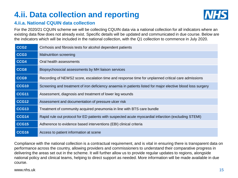### **4.ii. Data collection and reporting**



#### **4.ii.a. National CQUIN data collection**

For the 2020/21 CQUIN scheme we will be collecting CQUIN data via a national collection for all indicators where an existing data flow does not already exist. Specific details will be updated and communicated in due course. Below are the indicators which will be included in the national collection, with the Q1 collection to commence in July 2020.

| CCG <sub>2</sub> | Cirrhosis and fibrosis tests for alcohol dependent patients                                                 |
|------------------|-------------------------------------------------------------------------------------------------------------|
| CCG3             | <b>Malnutrition screening</b>                                                                               |
| CCG4             | Oral health assessments                                                                                     |
| CCG8             | Biopsychosocial assessments by MH liaison services                                                          |
| CCG9             | Recording of NEWS2 score, escalation time and response time for unplanned critical care admissions          |
| CCG10            | Screening and treatment of iron deficiency anaemia in patients listed for major elective blood loss surgery |
| <b>CCG11</b>     | Assessment, diagnosis and treatment of lower leg wounds                                                     |
| <b>CCG12</b>     | Assessment and documentation of pressure ulcer risk                                                         |
| CCG13            | Treatment of community acquired pneumonia in line with BTS care bundle                                      |
| <b>CCG14</b>     | Rapid rule out protocol for ED patients with suspected acute myocardial infarction (excluding STEMI)        |
| <b>CCG15</b>     | Adherence to evidence based interventions (EBI) clinical criteria                                           |
| <b>CCG16</b>     | Access to patient information at scene                                                                      |

Compliance with the national collection is a contractual requirement, and is vital in ensuring there is transparent data on performance across the country, allowing providers and commissioners to understand their comparative progress in delivering the areas set out in the scheme. It will further allow us to provide regular updates to regions, alongside national policy and clinical teams, helping to direct support as needed. More information will be made available in due course.

#### www.nhs.uk 15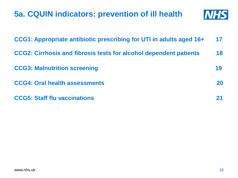# **5a. CQUIN indicators: prevention of ill health**



| CCG1: Appropriate antibiotic prescribing for UTI in adults aged 16+ | 17        |
|---------------------------------------------------------------------|-----------|
| CCG2: Cirrhosis and fibrosis tests for alcohol dependent patients   | 18        |
| <b>CCG3: Malnutrition screening</b>                                 | 19        |
| <b>CCG4: Oral health assessments</b>                                | <b>20</b> |
| <b>CCG5: Staff flu vaccinations</b>                                 |           |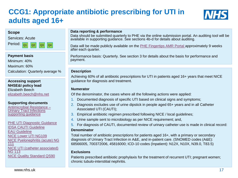### **CCG1: Appropriate antibiotic prescribing for UTI in adults aged 16+**



#### **Scope**

Services: Acute

Period:  $Q1$   $Q2$   $Q3$   $Q4$ 

#### **Payment basis**

Minimum: 40%

Maximum: 60%

Calculation: Quarterly average %

**Accessing support NHSE&I policy lead** Elizabeth Beech [elizabeth.beech@nhs.net](mailto:elizabeth.beech@nhs.net)

#### **Supporting documents**

[Antimicrobial Resistance –](https://improvement.nhs.uk/resources/antimicrobial-resistance-cquin-2019-20/) Urinary Tract Infections supporting *guidance* 

[PHE UTI Diagnostic Guidance](https://www.gov.uk/government/publications/urinary-tract-infection-diagnosis) [IDSA CAUTI Guideline](https://academic.oup.com/cid/article/50/5/625/324341) [EAU Guideline](https://uroweb.org/guideline/urological-infections/#3) [NICE Lower UTI NG109](https://www.nice.org.uk/guidance/ng109) [NICE Pyelonephritis \(acute\) NG](https://www.nice.org.uk/guidance/ng111) 111 [NICE UTI \(catheter associated\)](https://www.nice.org.uk/guidance/ng113)  NG 113 [NICE Quality Standard QS90](https://www.nice.org.uk/guidance/qs90)

#### **Data reporting & performance**

Data should be submitted quarterly to PHE via the online submission portal. An auditing tool will be available in supporting guidance. See sections 4b-d for details about auditing.

Data will be made publicly available on the [PHE Fingertips AMR Portal](https://fingertips.phe.org.uk/profile/amr-local-indicators/data#page/9/gid/1938133070/pat/158/par/NT_trust/ati/118/are/REM) approximately 9 weeks after each quarter.

Performance basis: Quarterly. See section 3 for details about the basis for performance and payment.

#### **Description**

Achieving 60% of all antibiotic prescriptions for UTI in patients aged 16+ years that meet NICE guidance for diagnosis and treatment.

#### **Numerator**

Of the denominator, the cases where all the following actions were applied:

- 1. Documented diagnosis of specific UTI based on clinical signs and symptoms;
- 2. Diagnosis excludes use of urine dipstick in people aged 65+ years and in all Catheter Associated UTI (CAUTI);
- 3. Empirical antibiotic regimen prescribed following NICE / local guidelines;
- 4. Urine sample sent to microbiology as per NICE requirement; and,
- 5. For diagnosis of CAUTI, documented review of urinary catheter use is made in clinical record:

#### **Denominator**

Total number of antibiotic prescriptions for patients aged 16+, with a primary or secondary diagnosis of Urinary Tract Infection in A&E, and in-patient care. (SNOMED codes (A&E): 68566005, 700372006, 45816000; ICD-10 codes (Inpatient): N12X, N10X, N39.0, T83.5)

#### **Exclusions**

Patients prescribed antibiotic prophylaxis for the treatment of recurrent UTI; pregnant women; chronic tubulo-interstitial nephritis.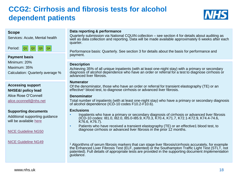### **CCG2: Cirrhosis and fibrosis tests for alcohol dependent patients**



#### **Scope**

Services: Acute, Mental health

Period: Q1 Q2 Q3 Q4

#### **Payment basis**

Minimum: 20% Maximum: 35% Calculation: Quarterly average %

#### **Accessing support NHSE&I policy lead**

Alice Rose O'Connell [alice.oconnell@nhs.net](mailto:alice.oconnell@nhs.net)

#### **Supporting documents**

Additional supporting guidance will be available [here](https://www.gov.uk/government/collections/alcohol-and-drug-misuse-prevention-and-treatment-guidance#preventing-ill-health-from-alcohol-misuse-in-hospital-patients)

[NICE Guideline NG50](http://www.nice.org.uk/guidance/ng50)

#### [NICE Guideline NG49](https://www.nice.org.uk/guidance/ng49)

#### **Data reporting & performance**

Quarterly submission via National CQUIN collection – see section 4 for details about auditing as well as data collection and reporting. Data will be made available approximately 6 weeks after each quarter.

Performance basis: Quarterly. See section 3 for details about the basis for performance and payment.

#### **Description**

Achieving 35% of all unique inpatients (with at least one-night stay) with a primary or secondary diagnosis of alcohol dependence who have an order or referral for a test to diagnose cirrhosis or advanced liver fibrosis.

#### **Numerator**

Of the denominator, those who have an order or referral for transient elastography (TE) or an effective<sup>1</sup> blood test, to diagnose cirrhosis or advanced liver fibrosis.

#### **Denominator**

Total number of inpatients (with at least one-night stay) who have a primary or secondary diagnosis of alcohol dependence (ICD-10 codes F10.2-F10.6).

#### **Exclusions**

- Inpatients who have a primary or secondary diagnosis of cirrhosis or advanced liver fibrosis (ICD-10 codes: I81.0, I82.0, I85.0-I85.9, K70.3, K70.4, K71.7, K72.1-K72.9, K74.4-74.6, K76.6, K76.7).
- Patients who have received a transient elastography (TE) or an effective1 blood test, to diagnose cirrhosis or advanced liver fibrosis in the prior 12 months.

<sup>1</sup> Algorithms of serum fibrosis markers that can stage liver fibrosis/cirrhosis accurately, for example the Enhanced Liver Fibrosis Test (ELF, patented) or the Southampton Traffic Light Test (STLT, not patented). Full details of appropriate tests are provided in the supporting document *Implementation guidance*.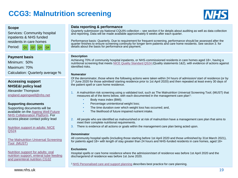### **CCG3: Malnutrition screening**



#### **Scope**

Period:

Services: Community hospital inpatients & NHS funded residents in care homes

Q1 Q2 Q3 Q4

**Payment basis** Minimum: 50% Maximum: 70% Calculation: Quarterly average %

#### **Accessing support NHSE&I policy lead**

Alexander Thompson [england.ageingwell@nhs.net](mailto:england.ageingwell@nhs.net)

#### **Supporting documents**

Supporting documents will be available on the Ageing Well Future [NHS Collaboration Platform. For](https://future.nhs.uk/connect.ti/)  access please contact policy lead

[Nutrition support in adults: NICE](https://www.nice.org.uk/guidance/qs24/resources/nutrition-support-in-adults-pdf-2098545777349)  QS24

[The Malnutrition Universal Screening](https://www.bapen.org.uk/screening-and-must/must/introducing-must)  Tool (MUST)

Nutrition support for adults: oral [nutrition support, enteral tube feeding](https://www.nice.org.uk/guidance/cg32/resources/nutrition-support-for-adults-oral-nutrition-support-enteral-tube-feeding-and-parenteral-nutrition-pdf-975383198917) and parenteral nutrition CG32

#### **Data reporting & performance**

Quarterly submission via National CQUIN collection – see section 4 for details about auditing as well as data collection and reporting. Data will be made available approximately 6 weeks after each quarter.

Performance basis: Quarterly. Due to requirement for frequent screening, performance should be assessed after the quarter finishes to ensure screening continuity for longer term patients and care home residents. See section 3. for details about the basis for performance and payment.

#### **Description**

Achieving 70% of community hospital inpatients, or NHS-commissioned residents in care homes aged 18+, having a nutritional screening that meets [NICE Quality Standard QS24 \(](https://www.nice.org.uk/Guidance/QS24)Quality statements 1&2), with evidence of actions against identified risks.

#### **Numerator**

Of the denominator, those where the following actions were taken within 24 hours of admission/ start of residence (or by 1<sup>st</sup> June 2020 for those admitted/ starting residence prior to 1st April 2020) and then repeated at least every 30 days of the patient spell or care home residence.

- 1. A malnutrition risk screening using a validated tool, such as The Malnutrition Universal Screening Tool; (MUST) that measures all of the items below, with each documented in the management care plan<sup>1</sup>:
	- Body mass index (BMI);
	- Percentage unintentional weight loss;
	- The time duration over which weight loss has occurred; and,
	- The likelihood of future impaired nutrient intake.
- 2. All people who are identified as malnourished or at risk of malnutrition have a management care plan that aims to meet their complete nutritional requirements.
- 3. There is evidence of all actions or goals within the management care plan being acted upon.

#### **Denominator**

All community hospital spells (including those starting before 1st April 2020 and those unfinished by 31st March 2021), for patients aged 18+ with length of stay greater than 24 hours and NHS-funded residents in care homes, aged 18+

#### **Exclusions**

Hospital spells or care home residence where the admission/start of residence was before 1st April 2020 and the discharge/end of residence was before 1st June 2020.

<sup>1</sup>[NHS Personalised care and support planning](https://www.england.nhs.uk/ourwork/patient-participation/patient-centred/planning/) describes best practice for care planning.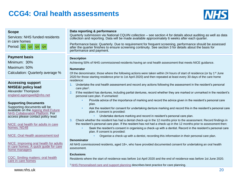### **CCG4: Oral health assessments**



#### **Scope**

Services: NHS funded residents in care homes Period: **Q1 Q2 Q3** Q4

#### **Payment basis**

Minimum: 30% Maximum: 50% Calculation: Quarterly average %

#### **Accessing support NHSE&I policy lead**

Alexander Thompson [england.ageingwell@nhs.net](mailto:england.ageingwell@nhs.net)

#### **Supporting Documents**

Supporting documents will be available on the Ageing Well Future [NHS Collaboration Platform. For](https://future.nhs.uk/connect.ti/)  access please contact policy lead

[NICE: oral health for adults in care](https://www.nice.org.uk/guidance/ng48)  homes: NG48

[NICE: Oral Health assessment tool](https://www.nice.org.uk/guidance/ng48/resources/oral-health-assessment-tool-pdf-2543183533)

NICE: Improving oral health for adults [in care homes: A quick guide for care](https://www.nice.org.uk/about/nice-communities/social-care/quick-guides/improving-oral-health-for-adults-in-care-homes?utm_medium=webpage&utm_source=toolsr&utm_campaign=quickguides&utm_content=qg1)  home managers

[CQC: Smiling matters: oral health](https://www.cqc.org.uk/publications/major-report/smiling-matters-oral-health-care-care-homes) care in care homes

#### **Data reporting & performance**

Quarterly submission via National CQUIN collection – see section 4 for details about auditing as well as data collection and reporting. Data will be made available approximately 6 weeks after each quarter.

Performance basis: Quarterly. Due to requirement for frequent screening, performance should be assessed after the quarter finishes to ensure screening continuity. See section 3 for details about the basis for performance and payment.

#### **Description**

Achieving 50% of NHS commissioned residents having an oral health assessment that meets NICE guidance.

#### **Numerator**

Of the denominator, those where the following actions were taken within 24 hours of start of residence (or by  $1<sup>st</sup>$  June 2020 for those starting residence prior to 1st April 2020) and then repeated at least every 30 days of the care home residence:

- 1. Undertake the oral health assessment and record any actions following the assessment in the resident's personal care plan<sup>1</sup>.
- 2. If the resident has dentures, including partial dentures, record whether they are marked or unmarked in the resident's personal care plan. If unmarked:
	- Provide advice of the importance of marking and record the advice given in the resident's personal care plan.
	- Ask the resident for consent for undertaking denture marking and record this in the resident's personal care plan. If consent is provided:
		- Undertake denture marking and record in resident's personal care plan.
- 3. Check whether the resident has had a dental check-up in the 12 months prior to the assessment. Record findings in the resident's personal care plan. If the resident has not had a check-up in the 12 months prior to assessment then:
	- Seek the resident's consent in organising a check-up with a dentist. Record in the resident's personal care plan. If consent is provided:
		- Organise a check-up with a dentist, recording this information in their personal care plan.

#### **Denominator**

All NHS commissioned residents, aged 18+, who have provided documented consent for undertaking an oral health assessment.

#### **Exclusions**

Residents where the start of residence was before 1st April 2020 and the end of residence was before 1st June 2020.

<sup>1</sup>[NHS Personalised care and support planning](https://www.england.nhs.uk/ourwork/patient-participation/patient-centred/planning/) describes best practice for care planning.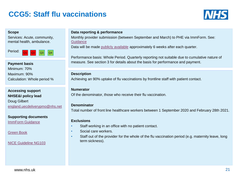### **CCG5: Staff flu vaccinations**



#### **Scope**

Services: Acute, community, mental health, ambulance.

Period:  $Q4$ 

**Payment basis** Minimum: 70% Maximum: 90% Calculation: Whole period %

**Accessing support NHSE&I policy lead** Doug Gilbert [england.uecdeliverypmo@nhs.net](mailto:england.uecdeliverypmo@nhs.net)

**Supporting documents**

[ImmForm Guidance](https://www.gov.uk/government/collections/vaccine-uptake)

[Green Book](https://www.gov.uk/government/uploads/system/uploads/attachment_data/file/147882/Green-Book-Chapter-12.pdf)

[NICE Guideline NG103](https://www.nice.org.uk/guidance/ng103)

#### **Data reporting & performance**

Monthly provider submission (between September and March) to PHE via ImmForm. See: **[Guidance](https://www.gov.uk/government/collections/vaccine-uptake)** 

Data will be made [publicly available](https://www.gov.uk/government/collections/vaccine-uptake) approximately 6 weeks after each quarter.

Performance basis: Whole Period. Quarterly reporting not suitable due to cumulative nature of measure. See section 3 for details about the basis for performance and payment.

#### **Description**

Achieving an 90% uptake of flu vaccinations by frontline staff with patient contact.

#### **Numerator**

Of the denominator, those who receive their flu vaccination.

#### **Denominator**

Total number of front line healthcare workers between 1 September 2020 and February 28th 2021.

#### **Exclusions**

- Staff working in an office with no patient contact.
- Social care workers.
- Staff out of the provider for the whole of the flu vaccination period (e.g. maternity leave, long term sickness).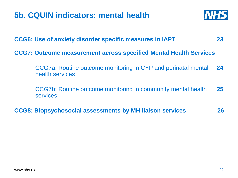### **5b. CQUIN indicators: mental health**



### **CCG6: Use of anxiety disorder specific measures in IAPT 23**

### **CCG7: Outcome measurement across specified Mental Health Services**

CCG7a: Routine outcome monitoring in CYP and perinatal mental **24**  health services

CCG7b: Routine outcome monitoring in community mental health **25** services

### **CCG8: Biopsychosocial assessments by MH liaison services 26**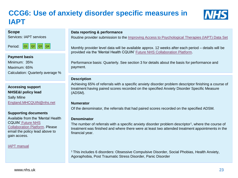### **CCG6: Use of anxiety disorder specific measures in IAPT**



#### **Scope**

Services: IAPT services

Period: **Q1** Q2 Q3 Q4

#### **Payment basis** Minimum: 35% Maximum: 65% Calculation: Quarterly average %

**Accessing support NHSE&I policy lead** Sally Milne [England.MHCQUIN@nhs.net](mailto:England.MHCQUIN@nhs.net)

#### **Supporting documents**

Available from the 'Mental Health CQUIN' Future NHS [Collaboration Platform](https://future.nhs.uk/MHCQUIN/grouphome). Please email the policy lead above to gain access.

[IAPT manual](https://www.england.nhs.uk/publication/the-improving-access-to-psychological-therapies-manual/)

#### **Data reporting & performance**

Routine provider submission to the [Improving Access to Psychological Therapies \(IAPT\) Data Set](https://digital.nhs.uk/data-and-information/data-collections-and-data-sets/data-sets/improving-access-to-psychological-therapies-data-set/improving-access-to-psychological-therapies-data-set-reports)

Monthly provider level data will be available approx. 12 weeks after each period – details will be provided via the 'Mental Health CQUIN' [Future NHS Collaboration Platform.](https://future.nhs.uk/system/login?nextURL=/connect.ti/home/grouphome)

Performance basis: Quarterly. See section 3 for details about the basis for performance and payment.

#### **Description**

Achieving 65% of referrals with a specific anxiety disorder problem descriptor finishing a course of treatment having paired scores recorded on the specified Anxiety Disorder Specific Measure (ADSM).

#### **Numerator**

Of the denominator, the referrals that had paired scores recorded on the specified ADSM.

#### **Denominator**

The number of referrals with a specific anxiety disorder problem descriptor<sup>1</sup>, where the course of treatment was finished and where there were at least two attended treatment appointments in the financial year.

<sup>1</sup>This includes 6 disorders: Obsessive Compulsive Disorder, Social Phobias, Health Anxiety, Agoraphobia, Post Traumatic Stress Disorder, Panic Disorder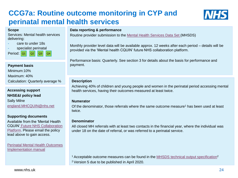### **CCG7a: Routine outcome monitoring in CYP and perinatal mental health services**

#### **Scope**

Services: Mental health services delivering:

- care to under 18s
- specialist perinatal

Period: 01 02 03 04

**Payment basis** Minimum:10% Maximum: 40% Calculation: Quarterly average %

**Accessing support NHSE&I policy lead** Sally Milne [england.MHCQUIN@nhs.net](mailto:england.MHCQUIN@nhs.net)

#### **Supporting documents**

Available from the 'Mental Health CQUIN' Future NHS Collaboration [Platform. Please email the policy](https://future.nhs.uk/MHCQUIN/grouphome)  lead above to gain access.

[Perinatal Mental Health Outcomes](https://www.england.nhs.uk/wp-content/uploads/2019/12/Implementing-routine-outcome-monitoring-in-specialist-mental-health-services.pdf)  Implementation manual

#### **Data reporting & performance**

Routine provider submission to the [Mental Health Services Data Set \(](https://digital.nhs.uk/data-and-information/data-collections-and-data-sets/data-sets/mental-health-services-data-set)MHSDS)

Monthly provider level data will be available approx. 12 weeks after each period – details will be provided via the 'Mental health CQUIN' future NHS collaboration platform.

Performance basis: Quarterly. See section 3 for details about the basis for performance and payment.

#### **Description**

Achieving 40% of children and young people and women in the perinatal period accessing mental health services, having their outcomes measured at least twice.

#### **Numerator**

Of the denominator, those referrals where the same outcome measure<sup>1</sup> has been used at least twice.

#### **Denominator**

All closed MH referrals with at least two contacts in the financial year, where the individual was under 18 on the date of referral, or was referred to a perinatal service.

<sup>1</sup> Acceptable outcome measures can be found in the [MHSDS technical output specification](https://digital.nhs.uk/binaries/content/assets/website-assets/data-and-information/data-sets/mhsds/mhsds_v4.1_technical_output_specification_for_publication.xlsm)<sup>2</sup> <sup>2</sup>Version 5 due to be published in April 2020.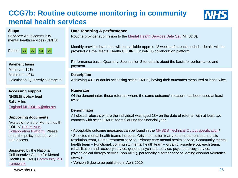### **CCG7b: Routine outcome monitoring in community mental health services**



#### **Scope**

Services: Adult community mental health services (CMHS)

Period: **Q1** Q2 Q3 Q4

**Payment basis** Minimum: 10% Maximum: 40% Calculation: Quarterly average %

**Accessing support NHSE&I policy lead** Sally Milne

[England.MHCQUIN@nhs.net](mailto:England.MHCQUIN@nhs.net)

#### **Supporting documents**

Available from the 'Mental health CQUIN' Future NHS [Collaboration Platform](https://future.nhs.uk/MHCQUIN/grouphome). Please email the policy lead above to gain access.

Supported by the National Collaborative Centre for Mental [Health \(NCCMH\) Community MH](https://www.england.nhs.uk/wp-content/uploads/2019/09/community-mental-health-framework-for-adults-and-older-adults.pdf)  framework

#### **Data reporting & performance**

Routine provider submission to the [Mental Health Services Data Set](https://digital.nhs.uk/data-and-information/data-collections-and-data-sets/data-sets/mental-health-services-data-set) (MHSDS).

Monthly provider level data will be available approx. 12 weeks after each period – details will be provided via the 'Mental Health CQUIN' FutureNHS collaboration platform.

Performance basis: Quarterly. See section 3 for details about the basis for performance and payment.

#### **Description**

Achieving 40% of adults accessing select CMHS, having their outcomes measured at least twice.

#### **Numerator**

Of the denominator, those referrals where the same outcome<sup>1</sup> measure has been used at least twice.

#### **Denominator**

All closed referrals where the individual was aged 18+ on the date of referral, with at least two contacts with select CMHS teams<sup>2</sup> during the financial year.

<sup>1</sup> Acceptable outcome measures can be found in the [MHSDS Technical Output specification](https://digital.nhs.uk/binaries/content/assets/website-assets/data-and-information/data-sets/mhsds/mhsds_v4.1_technical_output_specification_for_publication.xlsm)<sup>3</sup>

<sup>2</sup> Selected mental health teams includes: Crisis resolution team/home treatment team, crisis resolution team, Home treatment service, Primary care mental health service, Community mental health team – Functional, community mental health team – organic, assertive outreach team, rehabilitation and recovery service, general psychiatric service, psychotherapy service, psychological therapy service (non IAPT), personality disorder service, eating disorders/dietetics service.

<sup>3</sup> Version 5 due to be published in April 2020.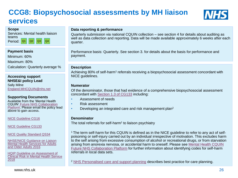### **CCG8: Biopsychosocial assessments by MH liaison services**

#### **Scope**



#### **Payment basis**

Minimum: 60% Maximum: 80% Calculation: Quarterly average %

**Accessing support NHSE&I policy Lead** Sally Milne [England.MHCQUIN@nhs.net](mailto:England.MHCQUIN@nhs.net)

#### **Supporting Documents**

Available from the 'Mental Health CQUIN' Future NHS Collaboration [Platform. Please email the policy le](https://future.nhs.uk/MHCQUIN/grouphome)ad above to gain access.

[NICE Guideline CG16](https://www.nice.org.uk/guidance/cg16)

[NICE Guideline CG133](https://www.nice.org.uk/guidance/cg133)

[NICE Quality Standard QS34](https://www.nice.org.uk/guidance/qs34)

NHSE/NICE Guidance on Liaison [Mental Health Services for Adults](https://www.england.nhs.uk/wp-content/uploads/2016/11/lmhs-guidance.pdf)  and Older Adults 2016

HQIP Guideline on Assessment of [Clinical Risk in Mental Health Service](https://www.hqip.org.uk/wp-content/uploads/2018/10/Ref-70-Mental-Health-CORP-Risk-Assessment-Study-v0.2.docx.pdf) 2018

#### **Data reporting & performance**

Quarterly submission via national CQUIN collection – see section 4 for details about auditing as well as data collection and reporting. Data will be made available approximately 6 weeks after each quarter.

Performance basis: Quarterly. See section 3. for details about the basis for performance and payment.

#### **Description**

Achieving 80% of self-harm<sup>1</sup> referrals receiving a biopsychosocial assessment concordant with NICE guidelines.

#### **Numerator**

Of the denominator, those that had evidence of a comprehensive biopsychosocial assessment concordant with [Section 1.3 of CG133](https://www.nice.org.uk/guidance/CG133/chapter/1-Guidance#psychosocial-assessment-in-community-mental-health-services-and-other-specialist-mental-health) including:

- Assessment of needs
- Risk assessment
- Developing an integrated care and risk management plan<sup>2</sup>

#### **Denominator**

The total referrals for self-harm<sup>1</sup> to liaison psychiatry

1 The term self-harm for this CQUIN is defined as in the NICE guideline to refer to any act of selfpoisoning or self-injury carried out by an individual irrespective of motivation. This excludes harm to the self arising from excessive consumption of alcohol or recreational drugs, or from starvation [arising from anorexia nervosa, or accidental harm to oneself. Please see Mental Health CQUIN](https://future.nhs.uk/connect.ti/home/grouphome)  Future NHS Collaboration Platform for further information about identifying codes for self-harm referrals in local data sets.

<sup>2</sup> [NHS Personalised care and support planning](https://www.england.nhs.uk/ourwork/patient-participation/patient-centred/planning/) describes best practice for care planning.

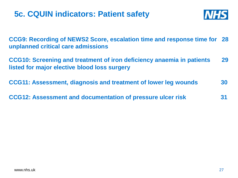### **5c. CQUIN indicators: Patient safety**



**CCG9: Recording of NEWS2 Score, escalation time and response time for 28 unplanned critical care admissions**

**CCG10: Screening and treatment of iron deficiency anaemia in patients 29 listed for major elective blood loss surgery**

**CCG11: Assessment, diagnosis and treatment of lower leg wounds 30**

**CCG12: Assessment and documentation of pressure ulcer risk 31**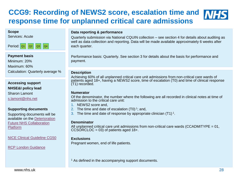### **CCG9: Recording of NEWS2 score, escalation time and response time for unplanned critical care admissions**

#### **Scope**

Services: Acute



#### **Payment basis**

Minimum: 20% Maximum: 60% Calculation: Quarterly average %

#### **Accessing support NHSE&I policy lead**  Sharon Lamont

[s.lamont@nhs.net](mailto:s.lamont@nhs.net)

#### **Supporting documents**

Supporting documents will be available on the Deterioration [Future NHS Collaboration](https://future.nhs.uk/connect.ti/)  Platform

[NICE Clinical Guideline CG50](https://www.nice.org.uk/guidance/cg50)

[RCP London Guidance](https://www.rcplondon.ac.uk/projects/outputs/national-early-warning-score-news-2)

#### **Data reporting & performance**

Quarterly submission via National CQUIN collection – see section 4 for details about auditing as well as data collection and reporting. Data will be made available approximately 6 weeks after each quarter.

Performance basis: Quarterly. See section 3 for details about the basis for performance and payment.

#### **Description**

Achieving 60% of all unplanned critical care unit admissions from non-critical care wards of patients aged 18+, having a NEWS2 score, time of escalation (T0) and time of clinical response (T1) recorded.

#### **Numerator**

Of the denominator, the number where the following are all recorded in clinical notes at time of admission to the critical care unit:

- 1. NEWS2 score and,
- 2. The time and date of escalation  $(T0)^1$ ; and,
- 3. The time and date of response by appropriate clinician  $(T1)^1$ .

#### **Denominator**

All unplanned critical care unit admissions from non-critical care wards (CCADMITYPE = 01,  $CCSORCLOC = 03$  of patients aged 18+.

#### **Exclusions**

Pregnant women, end of life patients.

<sup>1</sup> As defined in the accompanying support documents.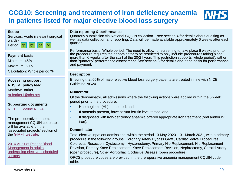### **CCG10: Screening and treatment of iron deficiency anaemia in patients listed for major elective blood loss surgery**



#### **Scope**



#### **Payment basis**

Minimum: 45% Maximum: 60% Calculation: Whole period %

**Accessing support NHSE&I policy lead** Matthew Barker [m.barker1@nhs.net](mailto:m.barker1@nhs.net)

#### **Supporting documents**

[NICE Guideline NG24](https://www.nice.org.uk/Guidance/ng24)

The pre-operative anaemia management CQUIN code table will be available on the 'associated projects' section of the [GIRFT website](https://gettingitrightfirsttime.co.uk/).

2016 Audit of Patient Blood Management in adults [undergoing elective, scheduled](https://hospital.blood.co.uk/audits/national-comparative-audit/surgical-audits/patient-blood-management-in-adults-undergoing-elective-scheduled-surgery-2016/)  surgery

#### **Data reporting & performance**

Quarterly submission via National CQUIN collection – see section 4 for details about auditing as well as data collection and reporting. Data will be made available approximately 6 weeks after each quarter.

Performance basis: Whole period. The need to allow for screening to take place 6 weeks prior to the procedure requires the denominator to be restricted to only include procedures taking place more than 6 weeks after the start of the 20/21 year. This restriction supports 'whole period', rather than 'quarterly' performance assessment. See section 3 for details about the basis for performance and payment.

#### **Description**

Ensuring that 60% of major elective blood loss surgery patients are treated in line with NICE Guideline NG24.

#### **Numerator**

Of the denominator, all admissions where the following actions were applied within the 6 week period prior to the procedure:

- Haemoglobin (Hb) measured; and,
- If anaemia present, have serum ferritin level tested; and,
	- If diagnosed with iron-deficiency anaemia offered appropriate iron treatment (oral and/or IV iron).

#### **Denominator**

Total elective inpatient admissions, within the period 13 May 2020 – 31 March 2021, with a primary procedure in the following groups: Coronary Artery Bypass Graft , Cardiac Valve Procedures, Colorectal Resection, Cystectomy, Hysterectomy, Primary Hip Replacement, Hip Replacement Revision, Primary Knee Replacement, Knee Replacement Revision, Nephrectomy, Carotid Artery (open procedure), Other Aortic/Iliac Occlusive Disease (open procedure).

OPCS procedure codes are provided in the pre-operative anaemia management CQUIN code table.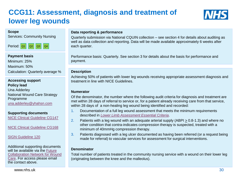### **CCG11: Assessment, diagnosis and treatment of lower leg wounds**



#### **Scope**

Services: Community Nursing



#### **Payment basis**

Minimum: 25% Maximum: 50% Calculation: Quarterly average %

**Accessing support Policy lead** Una Adderley National Wound Care Strategy Programme [una.adderley@yhahsn.com](mailto:una.adderley@yhahsn.com)

**Supporting documents** [NICE Clinical Guideline CG147](https://www.nice.org.uk/guidance/cg147)

[NICE Clinical Guideline CG168](https://www.nice.org.uk/guidance/cg168)

#### [SIGN Guideline 120](https://www.sign.ac.uk/sign-120-management-of-chronic-venous-leg-ulcers.html)

Additional supporting documents will be available via the Future [Collaboration Network for Wound](https://future.nhs.uk/connect.ti/) Care. For access please email the contact above.

www.nhs.uk

#### **Data reporting & performance**

Quarterly submission via National CQUIN collection – see section 4 for details about auditing as well as data collection and reporting. Data will be made available approximately 6 weeks after each quarter.

Performance basis: Quarterly. See section 3 for details about the basis for performance and payment.

#### **Description**

Achieving 50% of patients with lower leg wounds receiving appropriate assessment diagnosis and treatment in line with NICE Guidelines.

#### **Numerator**

Of the denominator, the number where the following audit criteria for diagnosis and treatment are met within 28 days of referral to service or, for a patient already receiving care from that service, within 28 days of a non-healing leg wound being identified and recorded:

- 1. Documentation of a full leg wound assessment that meets the minimum requirements described in *[Lower Limb Assessment Essential Criteria](https://www.ahsnnetwork.com/wp-content/uploads/2019/11/V2-Draft-Lower-Limb-Assessment-Essential-Criteria-25.11.19.pdf)*.
- 2. Patients with a leg wound with an adequate arterial supply (ABPI > 0.8-1.3) and where no other condition that contra-indicates compression therapy is suspected, treated with a minimum of 40mmHg compression therapy.
- 3. Patients diagnosed with a leg ulcer documented as having been referred (or a request being made for referral) to vascular services for assessment for surgical interventions.

#### **Denominator**

Total number of patients treated in the community nursing service with a wound on their lower leg (originating between the knee and the malleolus).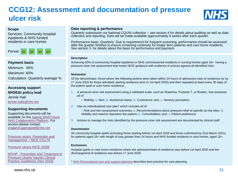### **CCG12: Assessment and documentation of pressure ulcer risk**



#### **Scope**

Services: Community hospital inpatients & NHS funded residents in care homes



#### **Payment basis**

Minimum: 40% Maximum: 60% Calculation: Quarterly average %

#### **Accessing support NHSE&I policy lead**

Jennie Hall [jennie.hall1@nhs.net](mailto:jennie.hall1@nhs.net)

#### **Supporting documents**

Supporting documents will be available on the Ageing Well Future [NHS Collaboration Platform. For](https://future.nhs.uk/connect.ti/)  access please contact [england.ageingwell@nhs.net](mailto:england.ageingwell@nhs.net)

[Pressure ulcers: Prevention and](https://www.nice.org.uk/guidance/cg179/resources/pressure-ulcers-prevention-and-management-pdf-35109760631749)  management – NICE CG179

[Pressure Ulcers NICE QS89](https://www.nice.org.uk/guidance/qs89)

[NPIAP : Prevention and Treatment of](https://www.wounds-uk.com/news/details/the-2019-international-clinical-practice-guideline)  Pressure Ulcers/ Injuries Clinical Practice Guidelines (Nov 2019)

#### **Data reporting & performance**

Quarterly submission via National CQUIN collection – see section 4 for details about auditing as well as data collection and reporting. Data will be made available approximately 6 weeks after each quarter.

Performance basis: Quarterly. Due to requirement for frequent screening, performance should be assessed after the quarter finishes to ensure screening continuity for longer term patients and care home residents. See section 3. for details about the basis for performance and payment.

#### **Description**

Achieving 60% of community hospital inpatients or NHS commissioned residents in nursing homes aged 18+ having a pressure ulcer risk assessment that meets NICE guidance with evidence of actions against all identified risks.

#### **Numerator**

Of the denominator, those where the following actions were taken within 24 hours of admission/ start of residence (or by 1<sup>st</sup> June 2020 for those admitted/ starting residence prior to 1st April 2020) and then repeated at least every 30 days of the patient spell or care home residence:

1. A pressure ulcer risk assessment using a validated scale, such as Waterlow, Purpose T, or Braden, that assesses all of:

i. Mobility; ii. Skin; iii. Nutritional status; iv. Continence; and, v. Sensory perception.

2. Has an individualised care plan<sup>1</sup> which includes all of:

i. Risk and skin assessment outcomes; ii. Recommendations about pressure relief at specific at-risk sites; iii. Mobility and need to reposition the patient; iv. Comorbidities; and, v. Patient preference.

3. Actions to manage the risks identified by the pressure ulcer risk assessment are documented by clinical staff.

#### **Denominator**

All community hospital spells (including those starting before 1st April 2020 and those unfinished by 31st March 2021), for patients aged 18+ with length of stay greater than 24 hours and NHS-funded residents in care homes, aged 18+.

#### **Exclusions**

Hospital spells or care home residence where the admission/start of residence was before 1st April 2020 and the discharge/end of residence was before 1<sup>st</sup> June 2020.

<sup>1</sup> [NHS Personalised care and support planning](https://www.england.nhs.uk/ourwork/patient-participation/patient-centred/planning/) describes best practice for care planning.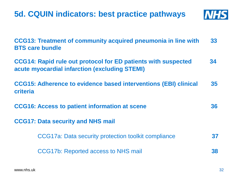**BTS care bundle**

# **CCG14: Rapid rule out protocol for ED patients with suspected 34 acute myocardial infarction (excluding STEMI)**

**CCG15: Adherence to evidence based interventions (EBI) clinical 35 criteria** 

**CCG13: Treatment of community acquired pneumonia in line with 33**

| <b>CCG16: Access to patient information at scene</b> | 36 |
|------------------------------------------------------|----|
| <b>CCG17: Data security and NHS mail</b>             |    |
| CCG17a: Data security protection toolkit compliance  | 37 |
| CCG17b: Reported access to NHS mail                  | 38 |

### **5d. CQUIN indicators: best practice pathways**

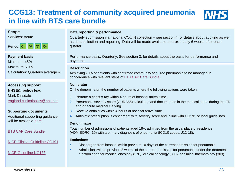### **CCG13: Treatment of community acquired pneumonia in line with BTS care bundle**



#### **Scope**

Services: Acute



**Payment basis**

Minimum: 45% Maximum: 70% Calculation: Quarterly average %

**Accessing support NHSE&I policy lead** Mark Dinsdale [england.clinicalpolicy@nhs.net](mailto:england.clinicalpolicy@nhs.net)

#### **Supporting documents**

Additional supporting guidance will be available [here](https://www.england.nhs.uk/ourwork/clinical-policy/respiratory-disease/).

[BTS CAP Care Bundle](https://www.brit-thoracic.org.uk/quality-improvement/clinical-resources/adult-community-acquired-pneumonia/)

[NICE Clinical Guideline CG191](https://www.nice.org.uk/guidance/cg191)

[NICE Guideline NG138](https://www.nice.org.uk/guidance/ng138)

www.nhs.uk

#### **Data reporting & performance**

Quarterly submission via national CQUIN collection – see section 4 for details about auditing as well as data collection and reporting. Data will be made available approximately 6 weeks after each quarter.

Performance basis: Quarterly. See section 3. for details about the basis for performance and payment.

#### **Description**

Achieving 70% of patients with confirmed community acquired pneumonia to be managed in concordance with relevant steps of [BTS CAP Care Bundle](https://www.brit-thoracic.org.uk/quality-improvement/clinical-resources/adult-community-acquired-pneumonia/).

#### **Numerator**

Of the denominator, the number of patients where the following actions were taken:

- 1. Perform a chest x-ray within 4 hours of hospital arrival time.
- 2. Pneumonia severity score (CURB65) calculated and documented in the medical notes during the ED and/or acute medical clerking.
- 3. Receive antibiotics within 4 hours of hospital arrival time.
- 4. Antibiotic prescription is concordant with severity score and in line with CG191 or local guidelines.

#### **Denominator**

Total number of admissions of patients aged 18+, admitted from the usual place of residence (ADMISORC=19) with a primary diagnosis of pneumonia (ICD10 codes: J12-18).

#### **Exclusions**

- Discharged from hospital within previous 10 days of the current admission for pneumonia.
- Admissions within previous 8 weeks of the current admission for pneumonia under the treatment function code for medical oncology (370), clinical oncology (800), or clinical haematology (303).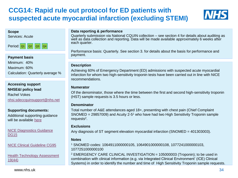### **CCG14: Rapid rule out protocol for ED patients with suspected acute myocardial infarction (excluding STEMI)**



#### **Scope**

Services: Acute



#### **Payment basis** Minimum: 40% Maximum: 60% Calculation: Quarterly average %

#### **Accessing support NHSE&I policy lead**

Rachel Vokes [nhsi.sdeccquinsupport@nhs.net](mailto:nhsi.sdeccquinsupport@nhs.net)

#### **Supporting documents:**

Additional supporting guidance will be available [here](https://improvement.nhs.uk/resources/same-day-emergency-care-cquin/)

[NICE Diagnostics Guidance](https://www.nice.org.uk/guidance/dg15)  DG15

[NICE Clinical Guideline CG95](https://www.nice.org.uk/guidance/cg95)

[Health Technology Assessment](https://www.journalslibrary.nihr.ac.uk/hta/hta19440/#/abstract)  19(44)

#### www.nhs.uk

#### **Data reporting & performance**

Quarterly submission via National CQUIN collection – see section 4 for details about auditing as well as data collection and reporting. Data will be made available approximately 6 weeks after each quarter.

Performance basis: Quarterly. See section 3. for details about the basis for performance and payment.

#### **Description**

Achieving 60% of Emergency Department (ED) admissions with suspected acute myocardial infarction for whom two high-sensitivity troponin tests have been carried out in line with NICE recommendations.

#### **Numerator**

Of the denominator, those where the time between the first and second high-sensitivity troponin (HST) sample requests is 3.5 hours or less.

#### **Denominator**

Total number of A&E attendances aged 18+, presenting with chest pain (Chief Complaint  $SNOMED = 29857009$ ) and Acuity 2-5<sup>1</sup> who have had two High Sensitivity Troponin sample requests<sup>2</sup>.

#### **Exclusions**

Any diagnosis of ST segment elevation myocardial infarction (SNOMED = 401303003).

#### **Notes**

<sup>1</sup> SNOMED codes: 1064911000000105, 1064901000000108, 1077241000000103, 1077251000000100

<sup>2</sup> EMERGENCY CARE CLINICAL INVESTIGATION = 105000003 (Troponin); to be used in combination with clinical information (e.g. via Integrated Clinical Environment' (ICE) Clinical Systems) in order to identify the number and time of High Sensitivity Troponin sample requests.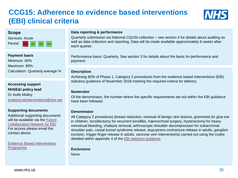### **CCG15: Adherence to evidence based interventions (EBI) clinical criteria**



#### **Scope**



#### **Payment basis**

Minimum: 60% Maximum: 80% Calculation: Quarterly average %

**Accessing support NHSE&I policy lead** 

Dr Aoife Molloy [england.ebinterventions@nhs.net](mailto:england.ebinterventions@nhs.net)

#### **Supporting documents**

Additional supporting documents will be available via the Future [Collaboration Network for EBI.](https://future.nhs.uk/connect.ti/)  For access please email the contact above.

[Evidence Based Interventions](https://www.england.nhs.uk/evidence-based-interventions/)  Programme

#### **Data reporting & performance**

Quarterly submission via National CQUIN collection – see section 4 for details about auditing as well as data collection and reporting. Data will be made available approximately 6 weeks after each quarter.

Performance basis: Quarterly. See section 3 for details about the basis for performance and payment.

#### **Description**

Achieving 80% of Phase 1, Category 2 procedures from the evidence based interventions (EBI) statutory guidance of November 2018 meeting the required criteria for delivery.

#### **Numerator**

Of the denominator, the number where the specific requirements set out within the EBI guidance have been followed.

#### **Denominator**

All Category 2 procedures (breast reduction, removal of benign skin lesions, grommets for glue ear in children, tonsillectomy for recurrent tonsillitis, haemorrhoid surgery, hysterectomy for heavy menstrual bleeding, chalazia removal, arthroscopic shoulder decompression for subacromial shoulder pain, carpal tunnel syndrome release, dupuytrens contracture release in adults, ganglion excision, trigger finger release in adults, varicose vein interventions) carried out using the codes detailed within appendix 4 of the [EBI statutory guidance.](https://www.england.nhs.uk/wp-content/uploads/2018/11/ebi-statutory-guidance-v2.pdf)

#### **Exclusions**

**None**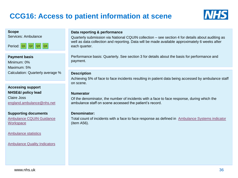### **CCG16: Access to patient information at scene**



#### **Scope**

Services: Ambulance



#### **Payment basis** Minimum: 0% Maximum: 5% Calculation: Quarterly average %

#### **Accessing support NHSE&I policy lead**

Claire Joss [england.ambulance@nhs.net](mailto:england.ambulance@nhs.net)

**Supporting documents** [Ambulance CQUIN Guidance](https://future.nhs.uk/connect.ti/)  **Workspace** 

[Ambulance statistics](https://www.england.nhs.uk/statistics/statistical-work-areas/ambulance-quality-indicators/)

[Ambulance Quality Indicators](https://www.england.nhs.uk/statistics/statistical-work-areas/ambulance-quality-indicators/)

#### **Data reporting & performance**

Quarterly submission via National CQUIN collection – see section 4 for details about auditing as well as data collection and reporting. Data will be made available approximately 6 weeks after each quarter.

Performance basis: Quarterly. See section 3 for details about the basis for performance and payment.

#### **Description**

Achieving 5% of face to face incidents resulting in patient data being accessed by ambulance staff on scene.

#### **Numerator**

Of the denominator, the number of incidents with a face to face response, during which the ambulance staff on scene accessed the patient's record.

#### **Denominator:**

Total count of incidents with a face to face response as defined in [Ambulance Systems indicator](https://www.england.nhs.uk/statistics/wp-content/uploads/sites/2/2018/07/20180525-Ambulance-System-Indicators-specification.pdf) (item A56).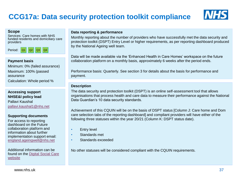### **CCG17a: Data security protection toolkit compliance**

#### **Scope**

Services: Care homes with NHS funded residents and domiciliary care providers



#### **Payment basis**

Minimum: 0% (failed assurance) Maximum: 100% (passed assurance Calculation: Whole period %

#### **Accessing support NHSE&I policy lead** Pallavi Kaushal [pallavi.kaushal1@nhs.net](mailto:pallavi.kaushal1@nhs.net)

#### **Supporting documents**

For access to reporting dashboard on the Future collaboration platform and information about further implementation support email: [england.ageingwell@nhs.net](mailto:england.ageingwell@nhs.net)

Additional information can be [found on the Digital Social Care](https://www.digitalsocialcare.co.uk/)  website

#### **Data reporting & performance**

Monthly reporting about the number of providers who have successfully met the data security and protection toolkit (DSPT) Entry Level or higher requirements, as per reporting dashboard produced by the National Ageing well team.

Data will be made available via the 'Enhanced Health in Care Homes' workspace on the future collaboration platform on a monthly basis, approximately 6 weeks after the period ends.

Performance basis: Quarterly. See section 3 for details about the basis for performance and payment.

#### **Description**

The data security and protection toolkit (DSPT) is an online self-assessment tool that allows organisations that process health and care data to measure their performance against the National Data Guardian's 10 data security standards.

Achievement of this CQUIN will be on the basis of DSPT status [Column J: Care home and Dom care selection tabs of the reporting dashboard] and compliant providers will have either of the following three statuses within the year 20/21 (Column K: DSPT status date).

- Entry level
	- Standards met
- Standards exceeded

No other statuses will be considered compliant with the CQUIN requirements.

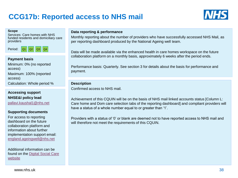### **CCG17b: Reported access to NHS mail**



#### **Scope**

Services: Care homes with NHS funded residents and domiciliary care providers



#### **Payment basis** Minimum: 0% (no reported access) Maximum: 100% (reported access) Calculation: Whole period %

**Accessing support NHSE&I policy lead** [pallavi.kaushal1@nhs.net](mailto:pallavi.kaushal1@nhs.net)

#### **Supporting documents**

For access to reporting dashboard on the future collaboration platform and information about further implementation support email: [england.ageingwell@nhs.net](mailto:england.ageingwell@nhs.net)

Additional information can be found [on the Digital Social Care](https://www.digitalsocialcare.co.uk/)  website

#### **Data reporting & performance**

Monthly reporting about the number of providers who have successfully accessed NHS Mail, as per reporting dashboard produced by the National Ageing well team.

Data will be made available via the enhanced health in care homes workspace on the future collaboration platform on a monthly basis, approximately 6 weeks after the period ends.

Performance basis: Quarterly. See section 3 for details about the basis for performance and payment.

#### **Description**

Confirmed access to NHS mail.

Achievement of this CQUIN will be on the basis of NHS mail linked accounts status [Column L: Care home and Dom care selection tabs of the reporting dashboard] and compliant providers will have a status of a whole number equal to or greater than '1'.

Providers with a status of '0' or blank are deemed not to have reported access to NHS mail and will therefore not meet the requirements of this CQUIN.